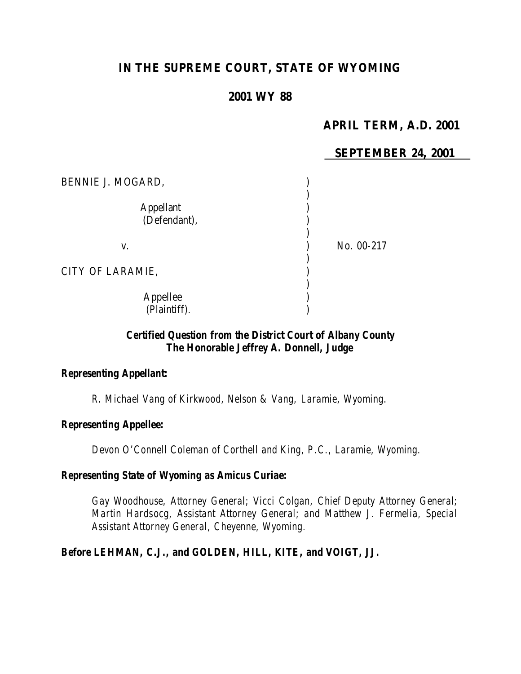# **IN THE SUPREME COURT, STATE OF WYOMING**

## **2001 WY 88**

## **APRIL TERM, A.D. 2001**

### **SEPTEMBER 24, 2001**

| BENNIE J. MOGARD,                |            |
|----------------------------------|------------|
| <b>Appellant</b><br>(Defendant), |            |
| V.                               | No. 00-217 |
| CITY OF LARAMIE,                 |            |
| Appellee<br>(Plaintiff).         |            |

## *Certified Question from the District Court of Albany County The Honorable Jeffrey A. Donnell, Judge*

#### *Representing Appellant:*

*R. Michael Vang of Kirkwood, Nelson & Vang, Laramie, Wyoming.*

#### *Representing Appellee:*

*Devon O'Connell Coleman of Corthell and King, P.C., Laramie, Wyoming.*

#### *Representing State of Wyoming as Amicus Curiae:*

*Gay Woodhouse, Attorney General; Vicci Colgan, Chief Deputy Attorney General; Martin Hardsocg, Assistant Attorney General; and Matthew J. Fermelia, Special Assistant Attorney General, Cheyenne, Wyoming.*

#### *Before LEHMAN, C.J., and GOLDEN, HILL, KITE, and VOIGT, JJ.*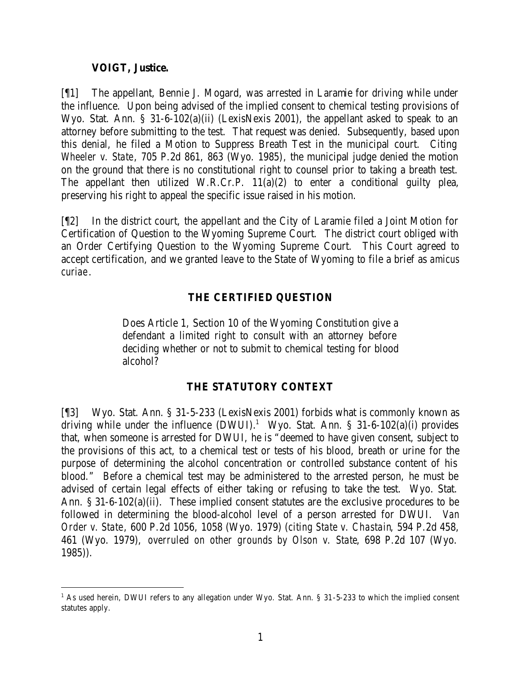#### **VOIGT, Justice.**

[¶1] The appellant, Bennie J. Mogard, was arrested in Laramie for driving while under the influence. Upon being advised of the implied consent to chemical testing provisions of Wyo. Stat. Ann. § 31-6-102(a)(ii) (LexisNexis 2001), the appellant asked to speak to an attorney before submitting to the test. That request was denied. Subsequently, based upon this denial, he filed a Motion to Suppress Breath Test in the municipal court. Citing *Wheeler v. State*, 705 P.2d 861, 863 (Wyo. 1985), the municipal judge denied the motion on the ground that there is no constitutional right to counsel prior to taking a breath test. The appellant then utilized W.R.Cr.P. 11(a)(2) to enter a conditional guilty plea, preserving his right to appeal the specific issue raised in his motion.

[¶2] In the district court, the appellant and the City of Laramie filed a Joint Motion for Certification of Question to the Wyoming Supreme Court. The district court obliged with an Order Certifying Question to the Wyoming Supreme Court. This Court agreed to accept certification, and we granted leave to the State of Wyoming to file a brief as *amicus curiae*.

## **THE CERTIFIED QUESTION**

Does Article 1, Section 10 of the Wyoming Constitution give a defendant a limited right to consult with an attorney before deciding whether or not to submit to chemical testing for blood alcohol?

## **THE STATUTORY CONTEXT**

[¶3] Wyo. Stat. Ann. § 31-5-233 (LexisNexis 2001) forbids what is commonly known as driving while under the influence  $(DWUI)$ .<sup>1</sup> Wyo. Stat. Ann. § 31-6-102(a)(i) provides that, when someone is arrested for DWUI, he is "deemed to have given consent, subject to the provisions of this act, to a chemical test or tests of his blood, breath or urine for the purpose of determining the alcohol concentration or controlled substance content of his blood." Before a chemical test may be administered to the arrested person, he must be advised of certain legal effects of either taking or refusing to take the test. Wyo. Stat. Ann. § 31-6-102(a)(ii). These implied consent statutes are the exclusive procedures to be followed in determining the blood-alcohol level of a person arrested for DWUI. *Van Order v. State*, 600 P.2d 1056, 1058 (Wyo. 1979) (*citing State v. Chastain*, 594 P.2d 458, 461 (Wyo. 1979), *overruled on other grounds by Olson v. State*, 698 P.2d 107 (Wyo. 1985)).

<sup>&</sup>lt;sup>1</sup> As used herein, DWUI refers to any allegation under Wyo. Stat. Ann. § 31-5-233 to which the implied consent statutes apply.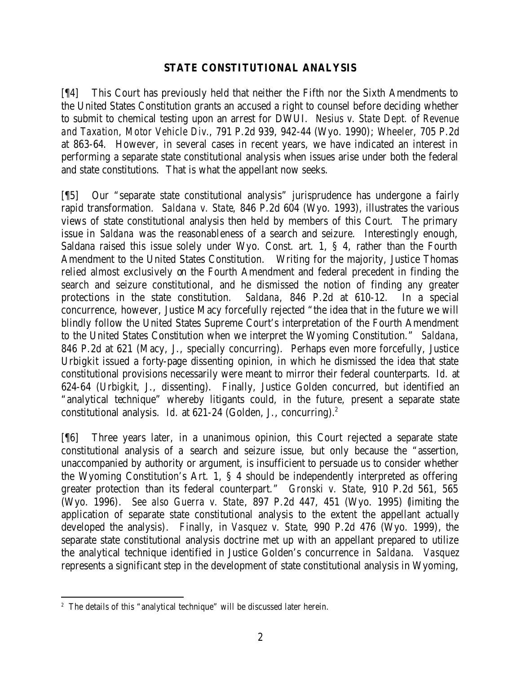## **STATE CONSTITUTIONAL ANALYSIS**

[¶4] This Court has previously held that neither the Fifth nor the Sixth Amendments to the United States Constitution grants an accused a right to counsel before deciding whether to submit to chemical testing upon an arrest for DWUI. *Nesius v. State Dept. of Revenue and Taxation, Motor Vehicle Div.*, 791 P.2d 939, 942-44 (Wyo. 1990); *Wheeler*, 705 P.2d at 863-64. However, in several cases in recent years, we have indicated an interest in performing a separate state constitutional analysis when issues arise under both the federal and state constitutions. That is what the appellant now seeks.

[¶5] Our "separate state constitutional analysis" jurisprudence has undergone a fairly rapid transformation. *Saldana v. State*, 846 P.2d 604 (Wyo. 1993), illustrates the various views of state constitutional analysis then held by members of this Court. The primary issue in *Saldana* was the reasonableness of a search and seizure. Interestingly enough, Saldana raised this issue solely under Wyo. Const. art. 1, § 4, rather than the Fourth Amendment to the United States Constitution. Writing for the majority, Justice Thomas relied almost exclusively on the Fourth Amendment and federal precedent in finding the search and seizure constitutional, and he dismissed the notion of finding any greater protections in the state constitution. *Saldana*, 846 P.2d at 610-12. In a special concurrence, however, Justice Macy forcefully rejected "the idea that in the future we will blindly follow the United States Supreme Court's interpretation of the Fourth Amendment to the United States Constitution when we interpret the Wyoming Constitution." *Saldana*, 846 P.2d at 621 (Macy, J., specially concurring). Perhaps even more forcefully, Justice Urbigkit issued a forty-page dissenting opinion, in which he dismissed the idea that state constitutional provisions necessarily were meant to mirror their federal counterparts. *Id.* at 624-64 (Urbigkit, J., dissenting). Finally, Justice Golden concurred, but identified an "analytical technique" whereby litigants could, in the future, present a separate state constitutional analysis. *Id.* at 621-24 (Golden, J., concurring).<sup>2</sup>

[¶6] Three years later, in a unanimous opinion, this Court rejected a separate state constitutional analysis of a search and seizure issue, but only because the "assertion, unaccompanied by authority or argument, is insufficient to persuade us to consider whether the Wyoming Constitution's Art. 1, § 4 should be independently interpreted as offering greater protection than its federal counterpart." *Gronski v. State*, 910 P.2d 561, 565 (Wyo. 1996). *See also Guerra v. State*, 897 P.2d 447, 451 (Wyo. 1995) (limiting the application of separate state constitutional analysis to the extent the appellant actually developed the analysis). Finally, in *Vasquez v. State*, 990 P.2d 476 (Wyo. 1999), the separate state constitutional analysis doctrine met up with an appellant prepared to utilize the analytical technique identified in Justice Golden's concurrence in *Saldana*. *Vasquez* represents a significant step in the development of state constitutional analysis in Wyoming,

 <sup>2</sup> The details of this "analytical technique" will be discussed later herein.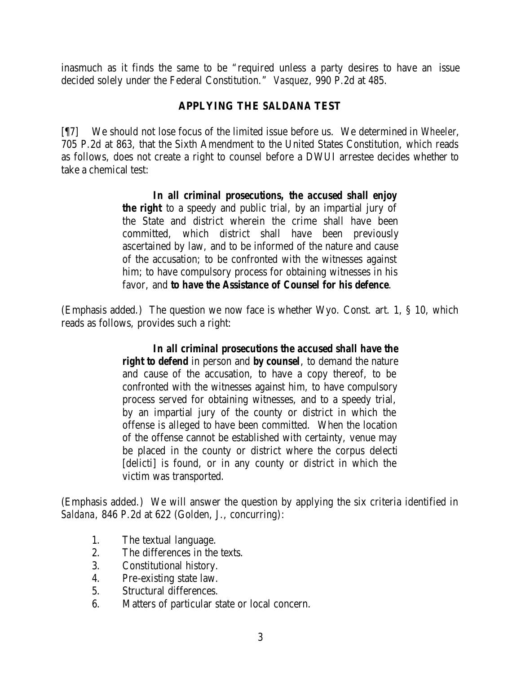inasmuch as it finds the same to be "required unless a party desires to have an issue decided solely under the Federal Constitution." *Vasquez*, 990 P.2d at 485.

# **APPLYING THE** *SALDANA* **TEST**

[¶7] We should not lose focus of the limited issue before us. We determined in *Wheeler*, 705 P.2d at 863, that the Sixth Amendment to the United States Constitution, which reads as follows, does not create a right to counsel before a DWUI arrestee decides whether to take a chemical test:

> *In all criminal prosecutions, the accused shall enjoy the right* to a speedy and public trial, by an impartial jury of the State and district wherein the crime shall have been committed, which district shall have been previously ascertained by law, and to be informed of the nature and cause of the accusation; to be confronted with the witnesses against him; to have compulsory process for obtaining witnesses in his favor, and *to have the Assistance of Counsel for his defence*.

(Emphasis added.) The question we now face is whether Wyo. Const. art. 1, § 10, which reads as follows, provides such a right:

## *In all criminal prosecutions the accused shall have the*

*right to defend* in person and *by counsel*, to demand the nature and cause of the accusation, to have a copy thereof, to be confronted with the witnesses against him, to have compulsory process served for obtaining witnesses, and to a speedy trial, by an impartial jury of the county or district in which the offense is alleged to have been committed. When the location of the offense cannot be established with certainty, venue may be placed in the county or district where the corpus delecti [delicti] is found, or in any county or district in which the victim was transported.

(Emphasis added.) We will answer the question by applying the six criteria identified in *Saldana*, 846 P.2d at 622 (Golden, J., concurring):

- 1. The textual language.
- 2. The differences in the texts.
- 3. Constitutional history.
- 4. Pre-existing state law.
- 5. Structural differences.
- 6. Matters of particular state or local concern.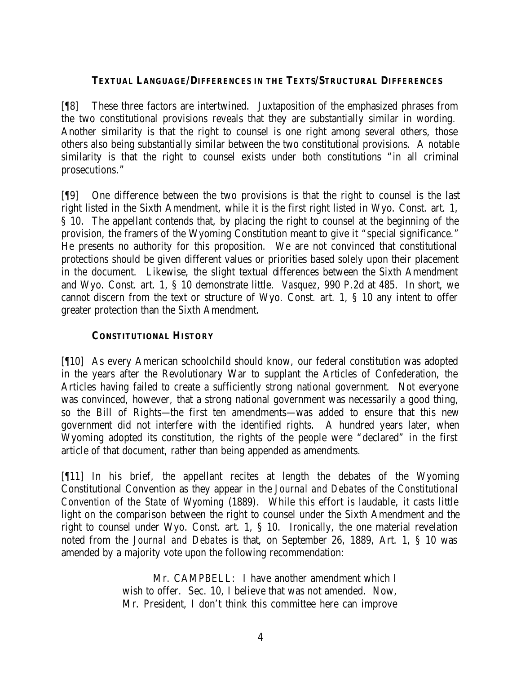### **TEXTUAL LANGUAGE/DIFFERENCES IN THE TEXTS/STRUCTURAL DIFFERENCES**

[¶8] These three factors are intertwined. Juxtaposition of the emphasized phrases from the two constitutional provisions reveals that they are substantially similar in wording. Another similarity is that the right to counsel is one right among several others, those others also being substantially similar between the two constitutional provisions. A notable similarity is that the right to counsel exists under both constitutions "in all criminal prosecutions."

[¶9] One difference between the two provisions is that the right to counsel is the last right listed in the Sixth Amendment, while it is the first right listed in Wyo. Const. art. 1, § 10. The appellant contends that, by placing the right to counsel at the beginning of the provision, the framers of the Wyoming Constitution meant to give it "special significance." He presents no authority for this proposition. We are not convinced that constitutional protections should be given different values or priorities based solely upon their placement in the document. Likewise, the slight textual differences between the Sixth Amendment and Wyo. Const. art. 1, § 10 demonstrate little. *Vasquez*, 990 P.2d at 485. In short, we cannot discern from the text or structure of Wyo. Const. art. 1, § 10 any intent to offer greater protection than the Sixth Amendment.

### **CONSTITUTIONAL HISTORY**

[¶10] As every American schoolchild should know, our federal constitution was adopted in the years after the Revolutionary War to supplant the Articles of Confederation, the Articles having failed to create a sufficiently strong national government. Not everyone was convinced, however, that a strong national government was necessarily a good thing, so the Bill of Rights—the first ten amendments—was added to ensure that this new government did not interfere with the identified rights. A hundred years later, when Wyoming adopted its constitution, the rights of the people were "declared" in the first article of that document, rather than being appended as amendments.

[¶11] In his brief, the appellant recites at length the debates of the Wyoming Constitutional Convention as they appear in the *Journal and Debates of the Constitutional Convention of the State of Wyoming* (1889). While this effort is laudable, it casts little light on the comparison between the right to counsel under the Sixth Amendment and the right to counsel under Wyo. Const. art. 1, § 10. Ironically, the one material revelation noted from the *Journal and Debates* is that, on September 26, 1889, Art. 1, § 10 was amended by a majority vote upon the following recommendation:

> Mr. CAMPBELL: I have another amendment which I wish to offer. Sec. 10, I believe that was not amended. Now, Mr. President, I don't think this committee here can improve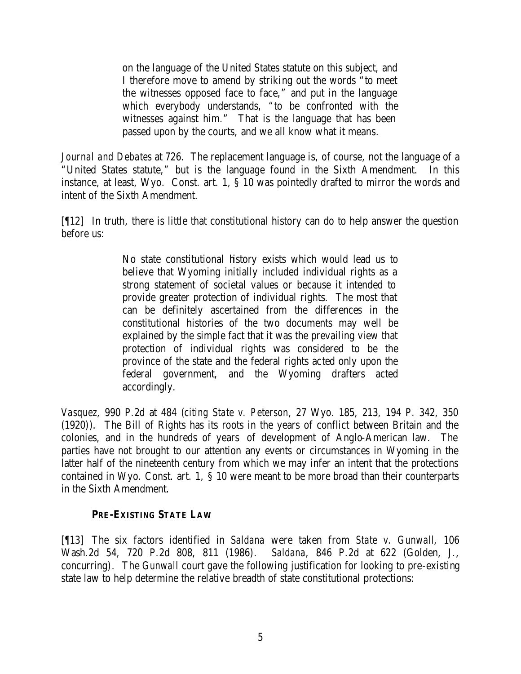on the language of the United States statute on this subject, and I therefore move to amend by striking out the words "to meet the witnesses opposed face to face," and put in the language which everybody understands, "to be confronted with the witnesses against him." That is the language that has been passed upon by the courts, and we all know what it means.

*Journal and Debates* at 726. The replacement language is, of course, not the language of a "United States statute," but is the language found in the Sixth Amendment. In this instance, at least, Wyo. Const. art. 1, § 10 was pointedly drafted to mirror the words and intent of the Sixth Amendment.

[¶12] In truth, there is little that constitutional history can do to help answer the question before us:

> No state constitutional history exists which would lead us to believe that Wyoming initially included individual rights as a strong statement of societal values or because it intended to provide greater protection of individual rights. The most that can be definitely ascertained from the differences in the constitutional histories of the two documents may well be explained by the simple fact that it was the prevailing view that protection of individual rights was considered to be the province of the state and the federal rights acted only upon the federal government, and the Wyoming drafters acted accordingly.

*Vasquez*, 990 P.2d at 484 (*citing State v. Peterson*, 27 Wyo. 185, 213, 194 P. 342, 350 (1920)). The Bill of Rights has its roots in the years of conflict between Britain and the colonies, and in the hundreds of years of development of Anglo-American law. The parties have not brought to our attention any events or circumstances in Wyoming in the latter half of the nineteenth century from which we may infer an intent that the protections contained in Wyo. Const. art. 1,  $\hat{S}$  10 were meant to be more broad than their counterparts in the Sixth Amendment.

## **PRE-EXISTING STATE LAW**

[¶13] The six factors identified in *Saldana* were taken from *State v. Gunwall*, 106 Wash.2d 54, 720 P.2d 808, 811 (1986). *Saldana*, 846 P.2d at 622 (Golden, J., concurring). The *Gunwall* court gave the following justification for looking to pre-existing state law to help determine the relative breadth of state constitutional protections: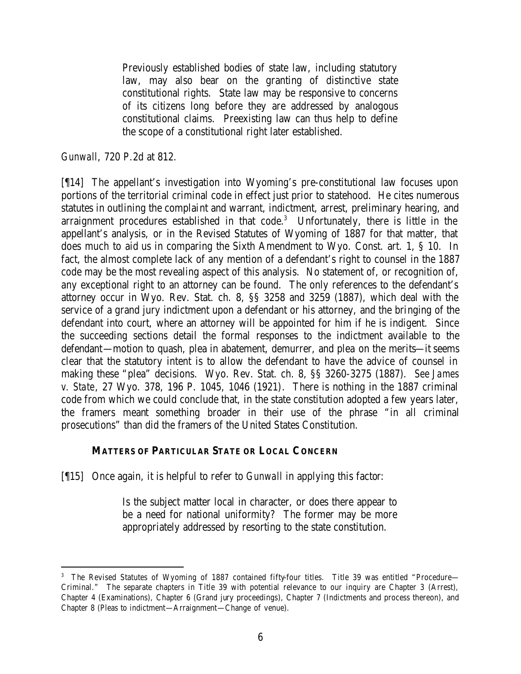Previously established bodies of state law, including statutory law, may also bear on the granting of distinctive state constitutional rights. State law may be responsive to concerns of its citizens long before they are addressed by analogous constitutional claims. Preexisting law can thus help to define the scope of a constitutional right later established.

#### *Gunwall*, 720 P.2d at 812.

[¶14] The appellant's investigation into Wyoming's pre-constitutional law focuses upon portions of the territorial criminal code in effect just prior to statehood. He cites numerous statutes in outlining the complaint and warrant, indictment, arrest, preliminary hearing, and arraignment procedures established in that code.<sup>3</sup> Unfortunately, there is little in the appellant's analysis, or in the Revised Statutes of Wyoming of 1887 for that matter, that does much to aid us in comparing the Sixth Amendment to Wyo. Const. art. 1, § 10. In fact, the almost complete lack of any mention of a defendant's right to counsel in the 1887 code may be the most revealing aspect of this analysis. No statement of, or recognition of, any exceptional right to an attorney can be found. The only references to the defendant's attorney occur in Wyo. Rev. Stat. ch. 8, §§ 3258 and 3259 (1887), which deal with the service of a grand jury indictment upon a defendant or his attorney, and the bringing of the defendant into court, where an attorney will be appointed for him if he is indigent. Since the succeeding sections detail the formal responses to the indictment available to the defendant—motion to quash, plea in abatement, demurrer, and plea on the merits—it seems clear that the statutory intent is to allow the defendant to have the advice of counsel in making these "plea" decisions. Wyo. Rev. Stat. ch. 8, §§ 3260-3275 (1887). *See James v. State*, 27 Wyo. 378, 196 P. 1045, 1046 (1921). There is nothing in the 1887 criminal code from which we could conclude that, in the state constitution adopted a few years later, the framers meant something broader in their use of the phrase "in all criminal prosecutions" than did the framers of the United States Constitution.

#### **MATTERS OF PARTICULAR STATE OR LOCAL CONCERN**

[¶15] Once again, it is helpful to refer to *Gunwall* in applying this factor:

Is the subject matter local in character, or does there appear to be a need for national uniformity? The former may be more appropriately addressed by resorting to the state constitution.

<sup>&</sup>lt;sup>3</sup> The Revised Statutes of Wyoming of 1887 contained fifty-four titles. Title 39 was entitled "Procedure— Criminal." The separate chapters in Title 39 with potential relevance to our inquiry are Chapter 3 (Arrest), Chapter 4 (Examinations), Chapter 6 (Grand jury proceedings), Chapter 7 (Indictments and process thereon), and Chapter 8 (Pleas to indictment—Arraignment—Change of venue).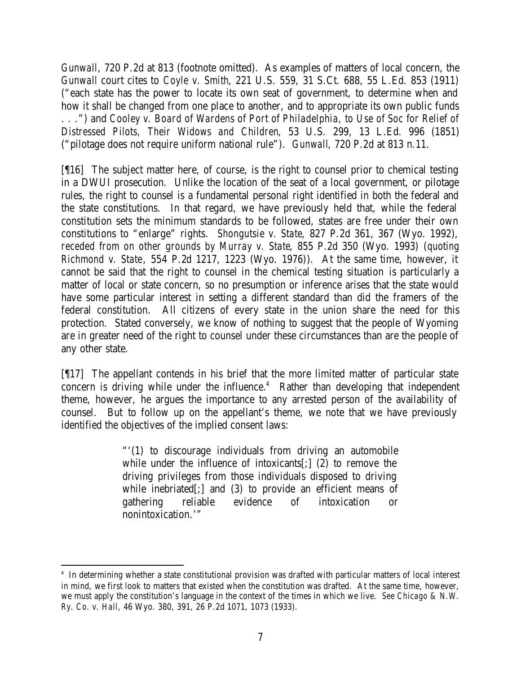*Gunwall*, 720 P.2d at 813 (footnote omitted). As examples of matters of local concern, the *Gunwall* court cites to *Coyle v. Smith*, 221 U.S. 559, 31 S.Ct. 688, 55 L.Ed. 853 (1911) ("each state has the power to locate its own seat of government, to determine when and how it shall be changed from one place to another, and to appropriate its own public funds . . .") and *Cooley v. Board of Wardens of Port of Philadelphia, to Use of Soc for Relief of Distressed Pilots, Their Widows and Children*, 53 U.S. 299, 13 L.Ed. 996 (1851) ("pilotage does not require uniform national rule"). *Gunwall*, 720 P.2d at 813 n.11.

[¶16] The subject matter here, of course, is the right to counsel prior to chemical testing in a DWUI prosecution. Unlike the location of the seat of a local government, or pilotage rules, the right to counsel is a fundamental personal right identified in both the federal and the state constitutions. In that regard, we have previously held that, while the federal constitution sets the minimum standards to be followed, states are free under their own constitutions to "enlarge" rights. *Shongutsie v. State*, 827 P.2d 361, 367 (Wyo. 1992), *receded from on other grounds by Murray v. State*, 855 P.2d 350 (Wyo. 1993) (*quoting Richmond v. State*, 554 P.2d 1217, 1223 (Wyo. 1976)). At the same time, however, it cannot be said that the right to counsel in the chemical testing situation is particularly a matter of local or state concern, so no presumption or inference arises that the state would have some particular interest in setting a different standard than did the framers of the federal constitution. All citizens of every state in the union share the need for this protection. Stated conversely, we know of nothing to suggest that the people of Wyoming are in greater need of the right to counsel under these circumstances than are the people of any other state.

[¶17] The appellant contends in his brief that the more limited matter of particular state concern is driving while under the influence. $4$  Rather than developing that independent theme, however, he argues the importance to any arrested person of the availability of counsel. But to follow up on the appellant's theme, we note that we have previously identified the objectives of the implied consent laws:

> "'(1) to discourage individuals from driving an automobile while under the influence of intoxicants[;] (2) to remove the driving privileges from those individuals disposed to driving while inebriated[;] and (3) to provide an efficient means of gathering reliable evidence of intoxication or nonintoxication.'"

<sup>4</sup> In determining whether a state constitutional provision was drafted with particular matters of local interest in mind, we first look to matters that existed when the constitution was drafted. At the same time, however, we must apply the constitution's language in the context of the times in which we live. *See Chicago & N.W. Ry. Co. v. Hall*, 46 Wyo. 380, 391, 26 P.2d 1071, 1073 (1933).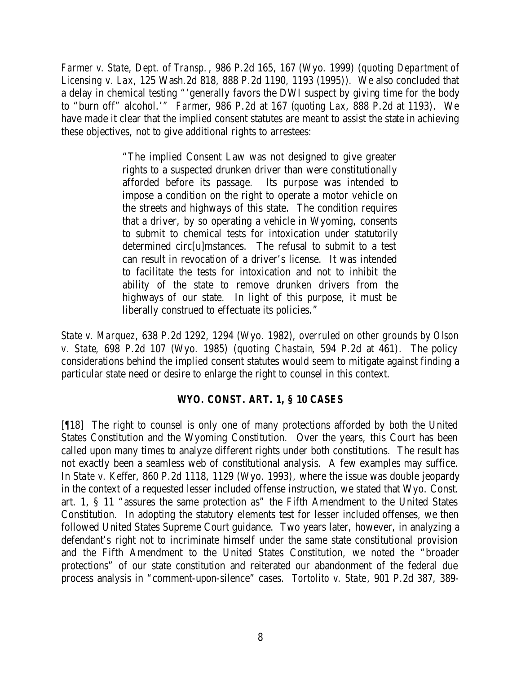*Farmer v. State, Dept. of Transp.*, 986 P.2d 165, 167 (Wyo. 1999) (*quoting Department of Licensing v. Lax*, 125 Wash.2d 818, 888 P.2d 1190, 1193 (1995)). We also concluded that a delay in chemical testing "'generally favors the DWI suspect by giving time for the body to "burn off" alcohol.'" *Farmer*, 986 P.2d at 167 (*quoting Lax*, 888 P.2d at 1193). We have made it clear that the implied consent statutes are meant to assist the state in achieving these objectives, not to give additional rights to arrestees:

> "The implied Consent Law was not designed to give greater rights to a suspected drunken driver than were constitutionally afforded before its passage. Its purpose was intended to impose a condition on the right to operate a motor vehicle on the streets and highways of this state. The condition requires that a driver, by so operating a vehicle in Wyoming, consents to submit to chemical tests for intoxication under statutorily determined circ[u]mstances. The refusal to submit to a test can result in revocation of a driver's license. It was intended to facilitate the tests for intoxication and not to inhibit the ability of the state to remove drunken drivers from the highways of our state. In light of this purpose, it must be liberally construed to effectuate its policies."

*State v. Marquez*, 638 P.2d 1292, 1294 (Wyo. 1982), *overruled on other grounds by Olson v. State*, 698 P.2d 107 (Wyo. 1985) (*quoting Chastain*, 594 P.2d at 461). The policy considerations behind the implied consent statutes would seem to mitigate against finding a particular state need or desire to enlarge the right to counsel in this context.

## *WYO. CONST. ART. 1, § 10 CASES*

[¶18] The right to counsel is only one of many protections afforded by both the United States Constitution and the Wyoming Constitution. Over the years, this Court has been called upon many times to analyze different rights under both constitutions. The result has not exactly been a seamless web of constitutional analysis. A few examples may suffice. In *State v. Keffer*, 860 P.2d 1118, 1129 (Wyo. 1993), where the issue was double jeopardy in the context of a requested lesser included offense instruction, we stated that Wyo. Const. art. 1, § 11 "assures the same protection as" the Fifth Amendment to the United States Constitution. In adopting the statutory elements test for lesser included offenses, we then followed United States Supreme Court guidance. Two years later, however, in analyzing a defendant's right not to incriminate himself under the same state constitutional provision and the Fifth Amendment to the United States Constitution, we noted the "broader protections" of our state constitution and reiterated our abandonment of the federal due process analysis in "comment-upon-silence" cases. *Tortolito v. State*, 901 P.2d 387, 389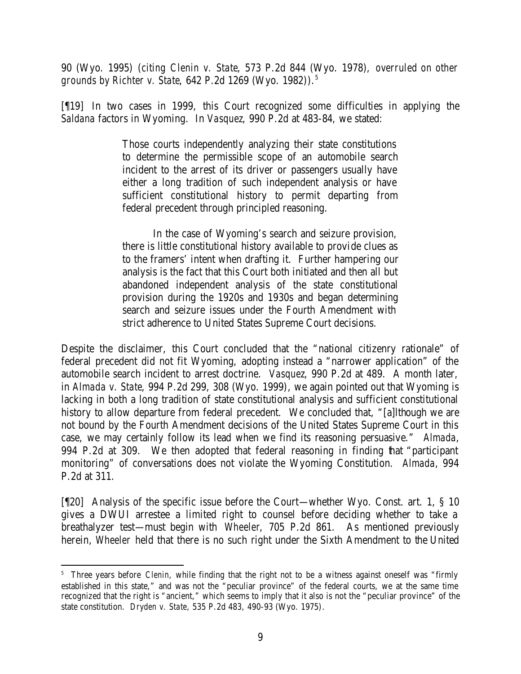90 (Wyo. 1995) (*citing Clenin v. State*, 573 P.2d 844 (Wyo. 1978), *overruled on other grounds by Richter v. State*, 642 P.2d 1269 (Wyo. 1982)).<sup>5</sup>

[¶19] In two cases in 1999, this Court recognized some difficulties in applying the *Saldana* factors in Wyoming. In *Vasquez*, 990 P.2d at 483-84, we stated:

> Those courts independently analyzing their state constitutions to determine the permissible scope of an automobile search incident to the arrest of its driver or passengers usually have either a long tradition of such independent analysis or have sufficient constitutional history to permit departing from federal precedent through principled reasoning.

> In the case of Wyoming's search and seizure provision, there is little constitutional history available to provide clues as to the framers' intent when drafting it. Further hampering our analysis is the fact that this Court both initiated and then all but abandoned independent analysis of the state constitutional provision during the 1920s and 1930s and began determining search and seizure issues under the Fourth Amendment with strict adherence to United States Supreme Court decisions.

Despite the disclaimer, this Court concluded that the "national citizenry rationale" of federal precedent did not fit Wyoming, adopting instead a "narrower application" of the automobile search incident to arrest doctrine. *Vasquez*, 990 P.2d at 489. A month later, in *Almada v. State*, 994 P.2d 299, 308 (Wyo. 1999), we again pointed out that Wyoming is lacking in both a long tradition of state constitutional analysis and sufficient constitutional history to allow departure from federal precedent. We concluded that, "[a]lthough we are not bound by the Fourth Amendment decisions of the United States Supreme Court in this case, we may certainly follow its lead when we find its reasoning persuasive." *Almada*, 994 P.2d at 309. We then adopted that federal reasoning in finding that "participant monitoring" of conversations does not violate the Wyoming Constitution. *Almada*, 994 P.2d at 311.

[¶20] Analysis of the specific issue before the Court—whether Wyo. Const. art. 1, § 10 gives a DWUI arrestee a limited right to counsel before deciding whether to take a breathalyzer test—must begin with *Wheeler*, 705 P.2d 861. As mentioned previously herein, *Wheeler* held that there is no such right under the Sixth Amendment to the United

<sup>&</sup>lt;sup>5</sup> Three years before *Clenin*, while finding that the right not to be a witness against oneself was "firmly established in this state," and was not the "peculiar province" of the federal courts, we at the same time recognized that the right is "ancient," which seems to imply that it also is not the "peculiar province" of the state constitution. *Dryden v. State*, 535 P.2d 483, 490-93 (Wyo. 1975).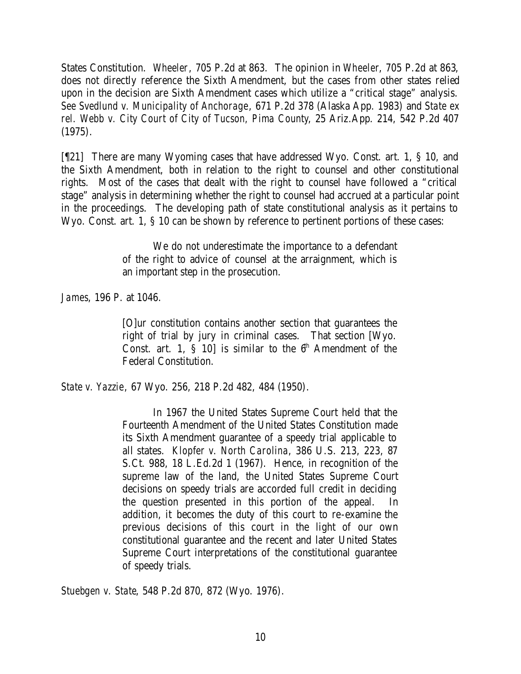States Constitution. *Wheeler*, 705 P.2d at 863. The opinion in *Wheeler*, 705 P.2d at 863, does not directly reference the Sixth Amendment, but the cases from other states relied upon in the decision are Sixth Amendment cases which utilize a "critical stage" analysis. *See Svedlund v. Municipality of Anchorage*, 671 P.2d 378 (Alaska App. 1983) and *State ex rel. Webb v. City Court of City of Tucson, Pima County*, 25 Ariz.App. 214, 542 P.2d 407 (1975).

[¶21] There are many Wyoming cases that have addressed Wyo. Const. art. 1, § 10, and the Sixth Amendment, both in relation to the right to counsel and other constitutional rights. Most of the cases that dealt with the right to counsel have followed a "critical stage" analysis in determining whether the right to counsel had accrued at a particular point in the proceedings. The developing path of state constitutional analysis as it pertains to Wyo. Const. art. 1, § 10 can be shown by reference to pertinent portions of these cases:

> We do not underestimate the importance to a defendant of the right to advice of counsel at the arraignment, which is an important step in the prosecution.

*James*, 196 P. at 1046.

[O]ur constitution contains another section that guarantees the right of trial by jury in criminal cases. That section [Wyo. Const. art. 1,  $\tilde{S}$  10] is similar to the  $6<sup>th</sup>$  Amendment of the Federal Constitution.

*State v. Yazzie*, 67 Wyo. 256, 218 P.2d 482, 484 (1950).

In 1967 the United States Supreme Court held that the Fourteenth Amendment of the United States Constitution made its Sixth Amendment guarantee of a speedy trial applicable to all states. *Klopfer v. North Carolina*, 386 U.S. 213, 223, 87 S.Ct. 988, 18 L.Ed.2d 1 (1967). Hence, in recognition of the supreme law of the land, the United States Supreme Court decisions on speedy trials are accorded full credit in deciding the question presented in this portion of the appeal. In addition, it becomes the duty of this court to re-examine the previous decisions of this court in the light of our own constitutional guarantee and the recent and later United States Supreme Court interpretations of the constitutional guarantee of speedy trials.

*Stuebgen v. State*, 548 P.2d 870, 872 (Wyo. 1976).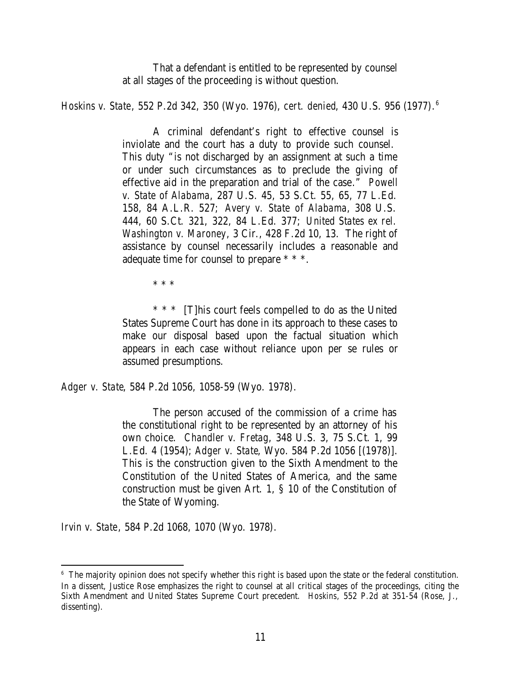That a defendant is entitled to be represented by counsel at all stages of the proceeding is without question.

*Hoskins v. State*, 552 P.2d 342, 350 (Wyo. 1976), *cert. denied*, 430 U.S. 956 (1977). 6

A criminal defendant's right to effective counsel is inviolate and the court has a duty to provide such counsel. This duty "is not discharged by an assignment at such a time or under such circumstances as to preclude the giving of effective aid in the preparation and trial of the case." *Powell v. State of Alabama*, 287 U.S. 45, 53 S.Ct. 55, 65, 77 L.Ed. 158, 84 A.L.R. 527; *Avery v. State of Alabama*, 308 U.S. 444, 60 S.Ct. 321, 322, 84 L.Ed. 377; *United States ex rel. Washington v. Maroney*, 3 Cir., 428 F.2d 10, 13. The right of assistance by counsel necessarily includes a reasonable and adequate time for counsel to prepare \* \* \*.

\* \* \*

\* \* \* [T]his court feels compelled to do as the United States Supreme Court has done in its approach to these cases to make our disposal based upon the factual situation which appears in each case without reliance upon per se rules or assumed presumptions.

*Adger v. State*, 584 P.2d 1056, 1058-59 (Wyo. 1978).

The person accused of the commission of a crime has the constitutional right to be represented by an attorney of his own choice. *Chandler v. Fretag*, 348 U.S. 3, 75 S.Ct. 1, 99 L.Ed. 4 (1954); *Adger v. State*, Wyo. 584 P.2d 1056 [(1978)]. This is the construction given to the Sixth Amendment to the Constitution of the United States of America, and the same construction must be given Art. 1, § 10 of the Constitution of the State of Wyoming.

*Irvin v. State*, 584 P.2d 1068, 1070 (Wyo. 1978).

<sup>&</sup>lt;sup>6</sup> The majority opinion does not specify whether this right is based upon the state or the federal constitution. In a dissent, Justice Rose emphasizes the right to counsel at all critical stages of the proceedings, citing the Sixth Amendment and United States Supreme Court precedent. *Hoskins*, 552 P.2d at 351-54 (Rose, J., dissenting).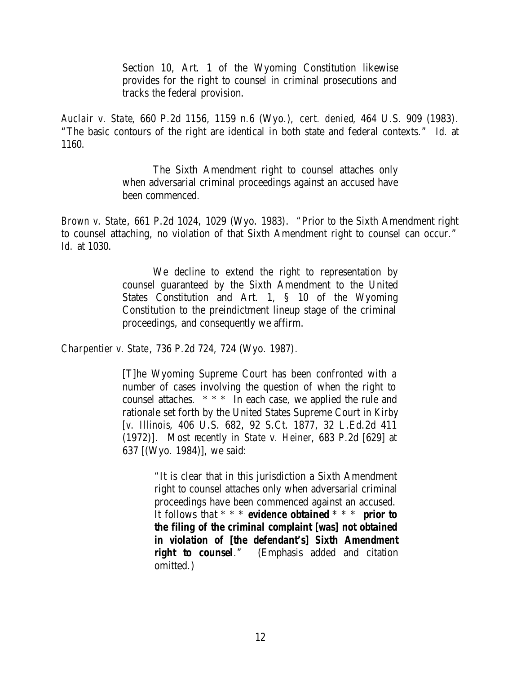Section 10, Art. 1 of the Wyoming Constitution likewise provides for the right to counsel in criminal prosecutions and tracks the federal provision.

*Auclair v. State*, 660 P.2d 1156, 1159 n.6 (Wyo.), *cert. denied*, 464 U.S. 909 (1983). "The basic contours of the right are identical in both state and federal contexts." *Id.* at 1160.

> The Sixth Amendment right to counsel attaches only when adversarial criminal proceedings against an accused have been commenced.

*Brown v. State*, 661 P.2d 1024, 1029 (Wyo. 1983). "Prior to the Sixth Amendment right to counsel attaching, no violation of that Sixth Amendment right to counsel can occur." *Id.* at 1030.

> We decline to extend the right to representation by counsel guaranteed by the Sixth Amendment to the United States Constitution and Art. 1, § 10 of the Wyoming Constitution to the preindictment lineup stage of the criminal proceedings, and consequently we affirm.

*Charpentier v. State*, 736 P.2d 724, 724 (Wyo. 1987).

[T]he Wyoming Supreme Court has been confronted with a number of cases involving the question of when the right to counsel attaches. \* \* \* In each case, we applied the rule and rationale set forth by the United States Supreme Court in *Kirby [v. Illinois*, 406 U.S. 682, 92 S.Ct. 1877, 32 L.Ed.2d 411 (1972)]. Most recently in *State v. Heiner*, 683 P.2d [629] at 637 [(Wyo. 1984)], we said:

> "It is clear that in this jurisdiction a Sixth Amendment right to counsel attaches only when adversarial criminal proceedings have been commenced against an accused. It follows that \* \* \* *evidence obtained* \* \* \* *prior to the filing of the criminal complaint [was] not obtained in violation of [the defendant's] Sixth Amendment right to counsel*." (Emphasis added and citation omitted.)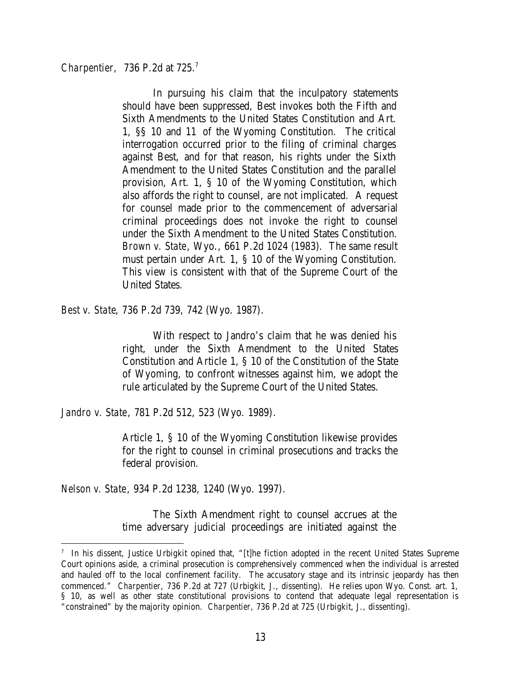*Charpentier,* 736 P.2d at 725. 7

In pursuing his claim that the inculpatory statements should have been suppressed, Best invokes both the Fifth and Sixth Amendments to the United States Constitution and Art. 1, §§ 10 and 11 of the Wyoming Constitution. The critical interrogation occurred prior to the filing of criminal charges against Best, and for that reason, his rights under the Sixth Amendment to the United States Constitution and the parallel provision, Art. 1, § 10 of the Wyoming Constitution, which also affords the right to counsel, are not implicated. A request for counsel made prior to the commencement of adversarial criminal proceedings does not invoke the right to counsel under the Sixth Amendment to the United States Constitution. *Brown v. State*, Wyo., 661 P.2d 1024 (1983). The same result must pertain under Art. 1, § 10 of the Wyoming Constitution. This view is consistent with that of the Supreme Court of the United States.

*Best v. State*, 736 P.2d 739, 742 (Wyo. 1987).

With respect to Jandro's claim that he was denied his right, under the Sixth Amendment to the United States Constitution and Article 1, § 10 of the Constitution of the State of Wyoming, to confront witnesses against him, we adopt the rule articulated by the Supreme Court of the United States.

*Jandro v. State*, 781 P.2d 512, 523 (Wyo. 1989).

Article 1, § 10 of the Wyoming Constitution likewise provides for the right to counsel in criminal prosecutions and tracks the federal provision.

*Nelson v. State*, 934 P.2d 1238, 1240 (Wyo. 1997).

The Sixth Amendment right to counsel accrues at the time adversary judicial proceedings are initiated against the

<sup>7</sup> In his dissent, Justice Urbigkit opined that, "[t]he fiction adopted in the recent United States Supreme Court opinions aside, a criminal prosecution is comprehensively commenced when the individual is arrested and hauled off to the local confinement facility. The accusatory stage and its intrinsic jeopardy has then commenced." *Charpentier*, 736 P.2d at 727 (Urbigkit, J., dissenting). He relies upon Wyo. Const. art. 1, § 10, as well as other state constitutional provisions to contend that adequate legal representation is "constrained" by the majority opinion. *Charpentier*, 736 P.2d at 725 (Urbigkit, J., dissenting).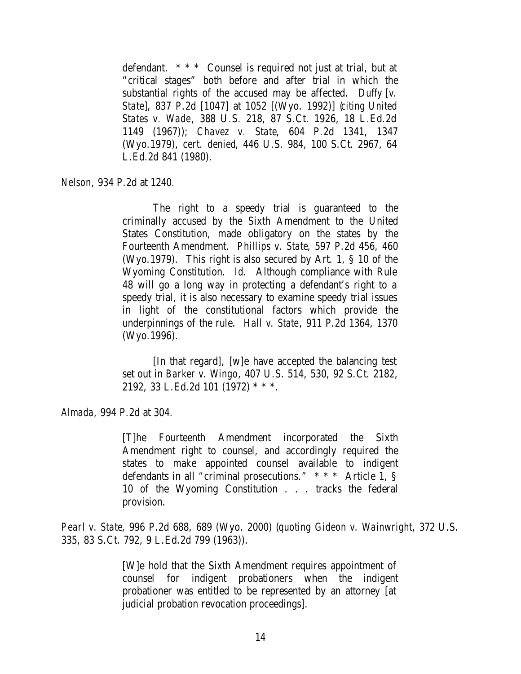defendant. \* \* \* Counsel is required not just at trial, but at "critical stages" both before and after trial in which the substantial rights of the accused may be affected. *Duffy [v. State]*, 837 P.2d [1047] at 1052 [(Wyo. 1992)] (*citing United States v. Wade*, 388 U.S. 218, 87 S.Ct. 1926, 18 L.Ed.2d 1149 (1967)); *Chavez v. State*, 604 P.2d 1341, 1347 (Wyo.1979), *cert. denied*, 446 U.S. 984, 100 S.Ct. 2967, 64 L.Ed.2d 841 (1980).

*Nelson*, 934 P.2d at 1240.

The right to a speedy trial is guaranteed to the criminally accused by the Sixth Amendment to the United States Constitution, made obligatory on the states by the Fourteenth Amendment. *Phillips v. State*, 597 P.2d 456, 460 (Wyo.1979). This right is also secured by Art. 1, § 10 of the Wyoming Constitution. *Id.* Although compliance with Rule 48 will go a long way in protecting a defendant's right to a speedy trial, it is also necessary to examine speedy trial issues in light of the constitutional factors which provide the underpinnings of the rule. *Hall v. State*, 911 P.2d 1364, 1370 (Wyo.1996).

[In that regard], [w]e have accepted the balancing test set out in *Barker v. Wingo*, 407 U.S. 514, 530, 92 S.Ct. 2182, 2192, 33 L.Ed.2d 101 (1972) \* \* \*.

*Almada*, 994 P.2d at 304.

[T]he Fourteenth Amendment incorporated the Sixth Amendment right to counsel, and accordingly required the states to make appointed counsel available to indigent defendants in all "criminal prosecutions." \* \* \* Article  $1,$  § 10 of the Wyoming Constitution . . . tracks the federal provision.

*Pearl v. State*, 996 P.2d 688, 689 (Wyo. 2000) (*quoting Gideon v. Wainwright*, 372 U.S. 335, 83 S.Ct. 792, 9 L.Ed.2d 799 (1963)).

> [W]e hold that the Sixth Amendment requires appointment of counsel for indigent probationers when the indigent probationer was entitled to be represented by an attorney [at judicial probation revocation proceedings].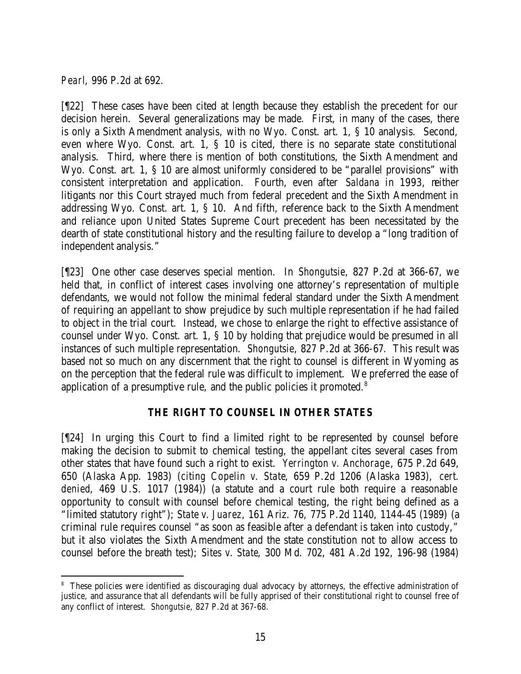*Pearl*, 996 P.2d at 692.

[¶22] These cases have been cited at length because they establish the precedent for our decision herein. Several generalizations may be made. First, in many of the cases, there is only a Sixth Amendment analysis, with no Wyo. Const. art. 1, § 10 analysis. Second, even where Wyo. Const. art. 1, § 10 is cited, there is no separate state constitutional analysis. Third, where there is mention of both constitutions, the Sixth Amendment and Wyo. Const. art. 1, § 10 are almost uniformly considered to be "parallel provisions" with consistent interpretation and application. Fourth, even after *Saldana* in 1993, neither litigants nor this Court strayed much from federal precedent and the Sixth Amendment in addressing Wyo. Const. art. 1, § 10. And fifth, reference back to the Sixth Amendment and reliance upon United States Supreme Court precedent has been necessitated by the dearth of state constitutional history and the resulting failure to develop a "long tradition of independent analysis."

[¶23] One other case deserves special mention. In *Shongutsie*, 827 P.2d at 366-67, we held that, in conflict of interest cases involving one attorney's representation of multiple defendants, we would not follow the minimal federal standard under the Sixth Amendment of requiring an appellant to show prejudice by such multiple representation if he had failed to object in the trial court. Instead, we chose to enlarge the right to effective assistance of counsel under Wyo. Const. art. 1, § 10 by holding that prejudice would be presumed in all instances of such multiple representation. *Shongutsie*, 827 P.2d at 366-67. This result was based not so much on any discernment that the right to counsel is different in Wyoming as on the perception that the federal rule was difficult to implement. We preferred the ease of application of a presumptive rule, and the public policies it promoted.<sup>8</sup>

# *THE RIGHT TO COUNSEL IN OTHER STATES*

[¶24] In urging this Court to find a limited right to be represented by counsel before making the decision to submit to chemical testing, the appellant cites several cases from other states that have found such a right to exist. *Yerrington v. Anchorage*, 675 P.2d 649, 650 (Alaska App. 1983) (*citing Copelin v. State*, 659 P.2d 1206 (Alaska 1983), *cert. denied*, 469 U.S. 1017 (1984)) (a statute and a court rule both require a reasonable opportunity to consult with counsel before chemical testing, the right being defined as a "limited statutory right"); *State v. Juarez*, 161 Ariz. 76, 775 P.2d 1140, 1144-45 (1989) (a criminal rule requires counsel "as soon as feasible after a defendant is taken into custody," but it also violates the Sixth Amendment and the state constitution not to allow access to counsel before the breath test); *Sites v. State*, 300 Md. 702, 481 A.2d 192, 196-98 (1984)

 <sup>8</sup> These policies were identified as discouraging dual advocacy by attorneys, the effective administration of justice, and assurance that all defendants will be fully apprised of their constitutional right to counsel free of any conflict of interest. *Shongutsie*, 827 P.2d at 367-68.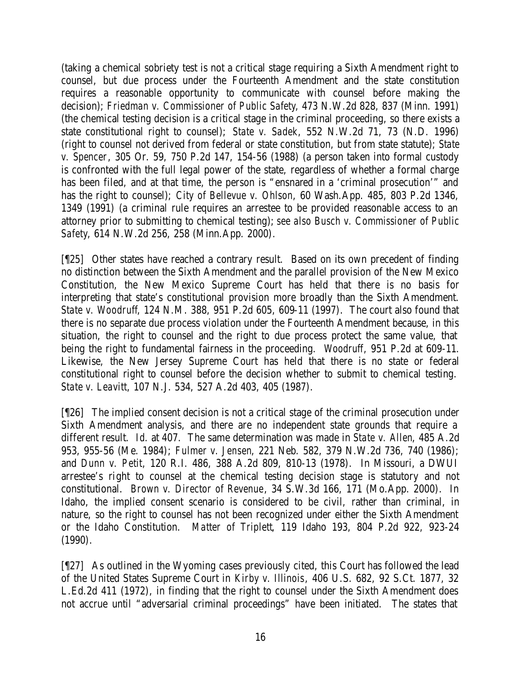(taking a chemical sobriety test is not a critical stage requiring a Sixth Amendment right to counsel, but due process under the Fourteenth Amendment and the state constitution requires a reasonable opportunity to communicate with counsel before making the decision); *Friedman v. Commissioner of Public Safety*, 473 N.W.2d 828, 837 (Minn. 1991) (the chemical testing decision is a critical stage in the criminal proceeding, so there exists a state constitutional right to counsel); *State v. Sadek*, 552 N.W.2d 71, 73 (N.D. 1996) (right to counsel not derived from federal or state constitution, but from state statute); *State v. Spencer*, 305 Or. 59, 750 P.2d 147, 154-56 (1988) (a person taken into formal custody is confronted with the full legal power of the state, regardless of whether a formal charge has been filed, and at that time, the person is "ensnared in a 'criminal prosecution'" and has the right to counsel); *City of Bellevue v. Ohlson*, 60 Wash.App. 485, 803 P.2d 1346, 1349 (1991) (a criminal rule requires an arrestee to be provided reasonable access to an attorney prior to submitting to chemical testing); *see also Busch v. Commissioner of Public Safety*, 614 N.W.2d 256, 258 (Minn.App. 2000).

[¶25] Other states have reached a contrary result. Based on its own precedent of finding no distinction between the Sixth Amendment and the parallel provision of the New Mexico Constitution, the New Mexico Supreme Court has held that there is no basis for interpreting that state's constitutional provision more broadly than the Sixth Amendment. *State v. Woodruff*, 124 N.M. 388, 951 P.2d 605, 609-11 (1997). The court also found that there is no separate due process violation under the Fourteenth Amendment because, in this situation, the right to counsel and the right to due process protect the same value, that being the right to fundamental fairness in the proceeding. *Woodruff*, 951 P.2d at 609-11. Likewise, the New Jersey Supreme Court has held that there is no state or federal constitutional right to counsel before the decision whether to submit to chemical testing. *State v. Leavitt*, 107 N.J. 534, 527 A.2d 403, 405 (1987).

[¶26] The implied consent decision is not a critical stage of the criminal prosecution under Sixth Amendment analysis, and there are no independent state grounds that require a different result. *Id*. at 407. The same determination was made in *State v. Allen*, 485 A.2d 953, 955-56 (Me. 1984); *Fulmer v. Jensen*, 221 Neb. 582, 379 N.W.2d 736, 740 (1986); and *Dunn v. Petit*, 120 R.I. 486, 388 A.2d 809, 810-13 (1978). In Missouri, a DWUI arrestee's right to counsel at the chemical testing decision stage is statutory and not constitutional. *Brown v. Director of Revenue*, 34 S.W.3d 166, 171 (Mo.App. 2000). In Idaho, the implied consent scenario is considered to be civil, rather than criminal, in nature, so the right to counsel has not been recognized under either the Sixth Amendment or the Idaho Constitution. *Matter of Triplett*, 119 Idaho 193, 804 P.2d 922, 923-24 (1990).

[¶27] As outlined in the Wyoming cases previously cited, this Court has followed the lead of the United States Supreme Court in *Kirby v. Illinois*, 406 U.S. 682, 92 S.Ct. 1877, 32 L.Ed.2d 411 (1972), in finding that the right to counsel under the Sixth Amendment does not accrue until "adversarial criminal proceedings" have been initiated. The states that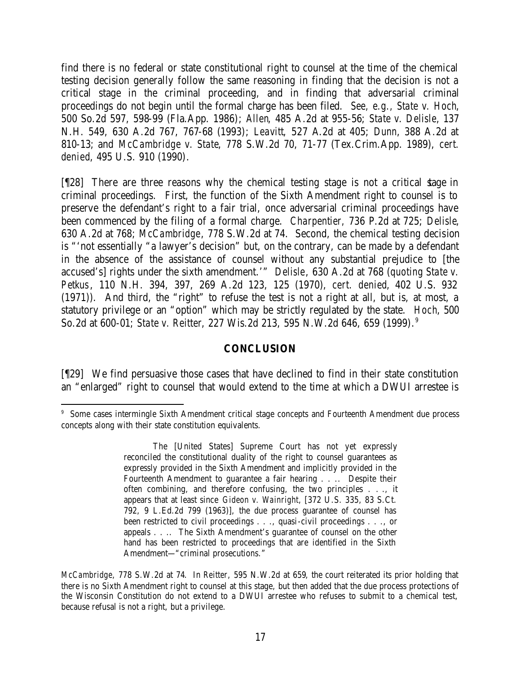find there is no federal or state constitutional right to counsel at the time of the chemical testing decision generally follow the same reasoning in finding that the decision is not a critical stage in the criminal proceeding, and in finding that adversarial criminal proceedings do not begin until the formal charge has been filed. *See, e.g., State v. Hoch*, 500 So.2d 597, 598-99 (Fla.App. 1986); *Allen*, 485 A.2d at 955-56; *State v. Delisle*, 137 N.H. 549, 630 A.2d 767, 767-68 (1993); *Leavitt*, 527 A.2d at 405; *Dunn*, 388 A.2d at 810-13; and *McCambridge v. State*, 778 S.W.2d 70, 71-77 (Tex.Crim.App. 1989), *cert. denied*, 495 U.S. 910 (1990).

[¶28] There are three reasons why the chemical testing stage is not a critical stage in criminal proceedings. First, the function of the Sixth Amendment right to counsel is to preserve the defendant's right to a fair trial, once adversarial criminal proceedings have been commenced by the filing of a formal charge. *Charpentier,* 736 P.2d at 725; *Delisle*, 630 A.2d at 768; *McCambridge*, 778 S.W.2d at 74. Second, the chemical testing decision is "'not essentially "a lawyer's decision" but, on the contrary, can be made by a defendant in the absence of the assistance of counsel without any substantial prejudice to [the accused's] rights under the sixth amendment.'" *Delisle*, 630 A.2d at 768 (*quoting State v. Petkus*, 110 N.H. 394, 397, 269 A.2d 123, 125 (1970), *cert. denied*, 402 U.S. 932 (1971)). And third, the "right" to refuse the test is not a right at all, but is, at most, a statutory privilege or an "option" which may be strictly regulated by the state. *Hoch*, 500 So.2d at 600-01; *State v. Reitter*, 227 Wis.2d 213, 595 N.W.2d 646, 659 (1999). 9

#### **CONCLUSION**

[¶29] We find persuasive those cases that have declined to find in their state constitution an "enlarged" right to counsel that would extend to the time at which a DWUI arrestee is

<sup>9</sup> Some cases intermingle Sixth Amendment critical stage concepts and Fourteenth Amendment due process concepts along with their state constitution equivalents.

The [United States] Supreme Court has not yet expressly reconciled the constitutional duality of the right to counsel guarantees as expressly provided in the Sixth Amendment and implicitly provided in the Fourteenth Amendment to guarantee a fair hearing . . .. Despite their often combining, and therefore confusing, the two principles . . ., it appears that at least since *Gideon v. Wainright*, [372 U.S. 335, 83 S.Ct. 792, 9 L.Ed.2d 799 (1963)], the due process guarantee of counsel has been restricted to civil proceedings . . ., quasi-civil proceedings . . ., or appeals . . .. The Sixth Amendment's guarantee of counsel on the other hand has been restricted to proceedings that are identified in the Sixth Amendment—"criminal prosecutions."

*McCambridge*, 778 S.W.2d at 74. In *Reitter*, 595 N.W.2d at 659, the court reiterated its prior holding that there is no Sixth Amendment right to counsel at this stage, but then added that the due process protections of the Wisconsin Constitution do not extend to a DWUI arrestee who refuses to submit to a chemical test, because refusal is not a right, but a privilege.